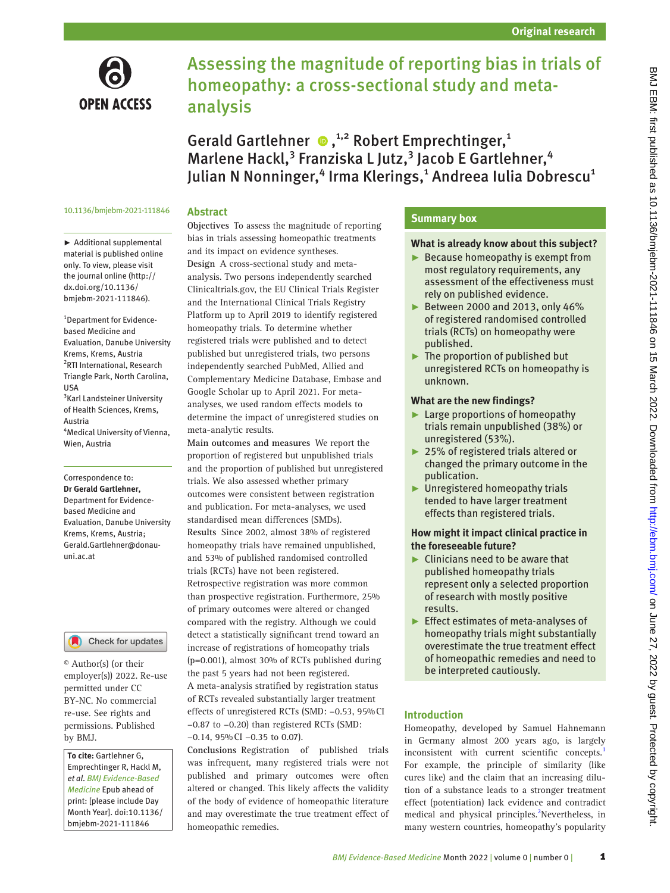

# Assessing the magnitude of reporting bias in trials of homeopathy: a cross-sectional study and metaanalysis

GeraldGartlehner  $\bullet$ ,<sup>1,2</sup> Robert Emprechtinger,<sup>1</sup> Marlene Hackl,<sup>3</sup> Franziska L Jutz,<sup>3</sup> Jacob E Gartlehner,<sup>4</sup> Julian N Nonninger,<sup>4</sup> Irma Klerings,<sup>1</sup> Andreea Iulia Dobrescu<sup>1</sup>

#### 10.1136/bmjebm-2021-111846

# **Abstract**

► Additional supplemental material is published online only. To view, please visit the journal online ([http://](http://dx.doi.org/10.1136/bmjebm-2021-111846) [dx.doi.org/10.1136/](http://dx.doi.org/10.1136/bmjebm-2021-111846) [bmjebm-2021-111846](http://dx.doi.org/10.1136/bmjebm-2021-111846)).

1 Department for Evidencebased Medicine and Evaluation, Danube University Krems, Krems, Austria 2 RTI International, Research Triangle Park, North Carolina, USA 3 Karl Landsteiner University of Health Sciences, Krems, Austria 4 Medical University of Vienna, Wien, Austria

#### Correspondence to: *Dr Gerald Gartlehner,*

Department for Evidencebased Medicine and Evaluation, Danube University Krems, Krems, Austria; Gerald.Gartlehner@donauuni.ac.at

# Check for updates

© Author(s) (or their employer(s)) 2022. Re-use permitted under CC BY-NC. No commercial re-use. See rights and permissions. Published by BMJ.

*To cite:* Gartlehner G, Emprechtinger R, Hackl M, *et al*. *BMJ Evidence-Based Medicine* Epub ahead of print: [please include Day Month Year]. doi:10.1136/ bmjebm-2021-111846

**Objectives** To assess the magnitude of reporting bias in trials assessing homeopathic treatments and its impact on evidence syntheses. **Design** A cross-sectional study and metaanalysis. Two persons independently searched Clinicaltrials.gov, the EU Clinical Trials Register and the International Clinical Trials Registry Platform up to April 2019 to identify registered homeopathy trials. To determine whether registered trials were published and to detect published but unregistered trials, two persons independently searched PubMed, Allied and Complementary Medicine Database, Embase and Google Scholar up to April 2021. For metaanalyses, we used random effects models to determine the impact of unregistered studies on meta-analytic results.

**Main outcomes and measures** We report the proportion of registered but unpublished trials and the proportion of published but unregistered trials. We also assessed whether primary outcomes were consistent between registration and publication. For meta-analyses, we used standardised mean differences (SMDs). **Results** Since 2002, almost 38% of registered homeopathy trials have remained unpublished, and 53% of published randomised controlled trials (RCTs) have not been registered. Retrospective registration was more common than prospective registration. Furthermore, 25% of primary outcomes were altered or changed compared with the registry. Although we could detect a statistically significant trend toward an increase of registrations of homeopathy trials (p=0.001), almost 30% of RCTs published during the past 5 years had not been registered. A meta-analysis stratified by registration status of RCTs revealed substantially larger treatment effects of unregistered RCTs (SMD: −0.53, 95%CI −0.87 to −0.20) than registered RCTs (SMD: −0.14, 95%CI −0.35 to 0.07).

**Conclusions** Registration of published trials was infrequent, many registered trials were not published and primary outcomes were often altered or changed. This likely affects the validity of the body of evidence of homeopathic literature and may overestimate the true treatment effect of homeopathic remedies.

# **Summary box**

# **What is already know about this subject?**

- ► Because homeopathy is exempt from most regulatory requirements, any assessment of the effectiveness must rely on published evidence.
- ► Between 2000 and 2013, only 46% of registered randomised controlled trials (RCTs) on homeopathy were published.
- $\blacktriangleright$  The proportion of published but unregistered RCTs on homeopathy is unknown.

# **What are the new findings?**

- ► Large proportions of homeopathy trials remain unpublished (38%) or unregistered (53%).
- ► 25% of registered trials altered or changed the primary outcome in the publication.
- ► Unregistered homeopathy trials tended to have larger treatment effects than registered trials.

# **How might it impact clinical practice in the foreseeable future?**

- $\blacktriangleright$  Clinicians need to be aware that published homeopathy trials represent only a selected proportion of research with mostly positive results.
- ► Effect estimates of meta-analyses of homeopathy trials might substantially overestimate the true treatment effect of homeopathic remedies and need to be interpreted cautiously.

# **Introduction**

Homeopathy, developed by Samuel Hahnemann in Germany almost 200 years ago, is largely inconsistent with current scientific concepts.<sup>[1](#page-5-0)</sup> For example, the principle of similarity (like cures like) and the claim that an increasing dilution of a substance leads to a stronger treatment effect (potentiation) lack evidence and contradict medical and physical principles.<sup>2</sup>Nevertheless, in many western countries, homeopathy's popularity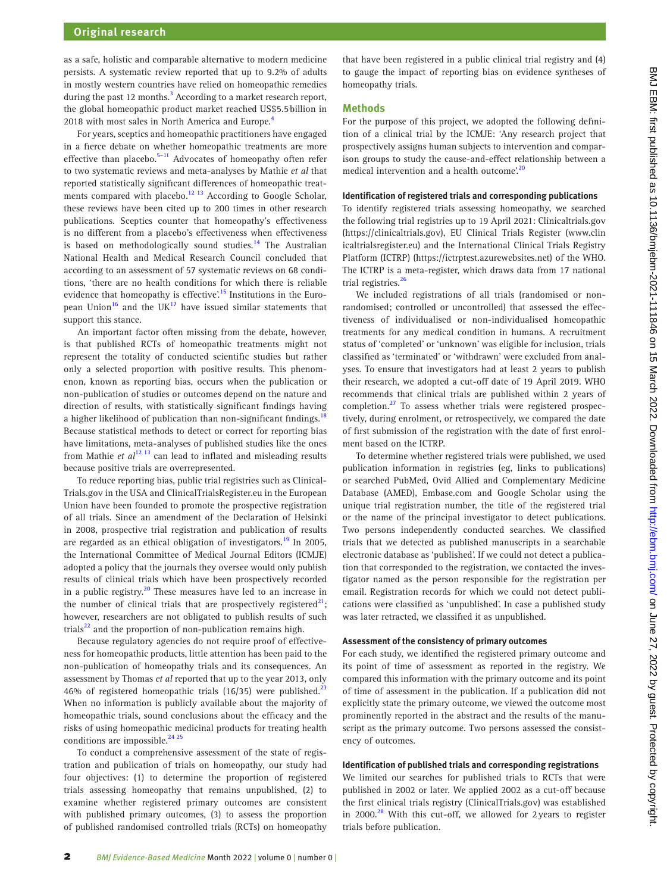as a safe, holistic and comparable alternative to modern medicine persists. A systematic review reported that up to 9.2% of adults in mostly western countries have relied on homeopathic remedies during the past 12 months.<sup>3</sup> According to a market research report, the global homeopathic product market reached US\$5.5billion in 2018 with most sales in North America and Europe.<sup>[4](#page-5-3)</sup>

For years, sceptics and homeopathic practitioners have engaged in a fierce debate on whether homeopathic treatments are more effective than placebo.<sup>[5–11](#page-5-4)</sup> Advocates of homeopathy often refer to two systematic reviews and meta-analyses by Mathie *et al* that reported statistically significant differences of homeopathic treatments compared with placebo.<sup>12 13</sup> According to Google Scholar, these reviews have been cited up to 200 times in other research publications. Sceptics counter that homeopathy's effectiveness is no different from a placebo's effectiveness when effectiveness is based on methodologically sound studies.<sup>14</sup> The Australian National Health and Medical Research Council concluded that according to an assessment of 57 systematic reviews on 68 conditions, 'there are no health conditions for which there is reliable evidence that homeopathy is effective'.<sup>15</sup> Institutions in the European Union<sup>16</sup> and the UK<sup>17</sup> have issued similar statements that support this stance.

An important factor often missing from the debate, however, is that published RCTs of homeopathic treatments might not represent the totality of conducted scientific studies but rather only a selected proportion with positive results. This phenomenon, known as reporting bias, occurs when the publication or non-publication of studies or outcomes depend on the nature and direction of results, with statistically significant findings having a higher likelihood of publication than non-significant findings.<sup>[18](#page-5-10)</sup> Because statistical methods to detect or correct for reporting bias have limitations, meta-analyses of published studies like the ones from Mathie *et al*<sup>12 13</sup> can lead to inflated and misleading results because positive trials are overrepresented.

To reduce reporting bias, public trial registries such as Clinical-Trials.gov in the USA and ClinicalTrialsRegister.eu in the European Union have been founded to promote the prospective registration of all trials. Since an amendment of the Declaration of Helsinki in 2008, prospective trial registration and publication of results are regarded as an ethical obligation of investigators.<sup>[19](#page-5-11)</sup> In 2005, the International Committee of Medical Journal Editors (ICMJE) adopted a policy that the journals they oversee would only publish results of clinical trials which have been prospectively recorded in a public registry.<sup>20</sup> These measures have led to an increase in the number of clinical trials that are prospectively registered<sup>[21](#page-5-13)</sup>; however, researchers are not obligated to publish results of such trials $^{22}$  and the proportion of non-publication remains high.

Because regulatory agencies do not require proof of effectiveness for homeopathic products, little attention has been paid to the non-publication of homeopathy trials and its consequences. An assessment by Thomas *et al* reported that up to the year 2013, only 46% of registered homeopathic trials (16/35) were published. $^{22}$ When no information is publicly available about the majority of homeopathic trials, sound conclusions about the efficacy and the risks of using homeopathic medicinal products for treating health conditions are impossible. $2425$ 

To conduct a comprehensive assessment of the state of registration and publication of trials on homeopathy, our study had four objectives: (1) to determine the proportion of registered trials assessing homeopathy that remains unpublished, (2) to examine whether registered primary outcomes are consistent with published primary outcomes, (3) to assess the proportion of published randomised controlled trials (RCTs) on homeopathy that have been registered in a public clinical trial registry and (4) to gauge the impact of reporting bias on evidence syntheses of homeopathy trials.

## **Methods**

For the purpose of this project, we adopted the following definition of a clinical trial by the ICMJE: 'Any research project that prospectively assigns human subjects to intervention and comparison groups to study the cause-and-effect relationship between a medical intervention and a health outcome'.<sup>[20](#page-5-12)</sup>

#### **Identification of registered trials and corresponding publications**

To identify registered trials assessing homeopathy, we searched the following trial registries up to 19 April 2021: Clinicaltrials.gov [\(https://clinicaltrials.gov\)](https://clinicaltrials.gov), EU Clinical Trials Register [\(www.clin](www.clinicaltrialsregister.eu) [icaltrialsregister.eu](www.clinicaltrialsregister.eu)) and the International Clinical Trials Registry Platform (ICTRP) ([https://ictrptest.azurewebsites.net\)](https://ictrptest.azurewebsites.net) of the WHO. The ICTRP is a meta-register, which draws data from 17 national trial registries.<sup>[26](#page-5-17)</sup>

We included registrations of all trials (randomised or nonrandomised; controlled or uncontrolled) that assessed the effectiveness of individualised or non-individualised homeopathic treatments for any medical condition in humans. A recruitment status of 'completed' or 'unknown' was eligible for inclusion, trials classified as 'terminated' or 'withdrawn' were excluded from analyses. To ensure that investigators had at least 2 years to publish their research, we adopted a cut-off date of 19 April 2019. WHO recommends that clinical trials are published within 2 years of completion.<sup>[27](#page-5-18)</sup> To assess whether trials were registered prospectively, during enrolment, or retrospectively, we compared the date of first submission of the registration with the date of first enrolment based on the ICTRP.

To determine whether registered trials were published, we used publication information in registries (eg, links to publications) or searched PubMed, Ovid Allied and Complementary Medicine Database (AMED), Embase.com and Google Scholar using the unique trial registration number, the title of the registered trial or the name of the principal investigator to detect publications. Two persons independently conducted searches. We classified trials that we detected as published manuscripts in a searchable electronic database as 'published'. If we could not detect a publication that corresponded to the registration, we contacted the investigator named as the person responsible for the registration per email. Registration records for which we could not detect publications were classified as 'unpublished'. In case a published study was later retracted, we classified it as unpublished.

#### **Assessment of the consistency of primary outcomes**

For each study, we identified the registered primary outcome and its point of time of assessment as reported in the registry. We compared this information with the primary outcome and its point of time of assessment in the publication. If a publication did not explicitly state the primary outcome, we viewed the outcome most prominently reported in the abstract and the results of the manuscript as the primary outcome. Two persons assessed the consistency of outcomes.

#### **Identification of published trials and corresponding registrations**

We limited our searches for published trials to RCTs that were published in 2002 or later. We applied 2002 as a cut-off because the first clinical trials registry (ClinicalTrials.gov) was established in 2000. $^{28}$  $^{28}$  $^{28}$  With this cut-off, we allowed for 2 years to register trials before publication.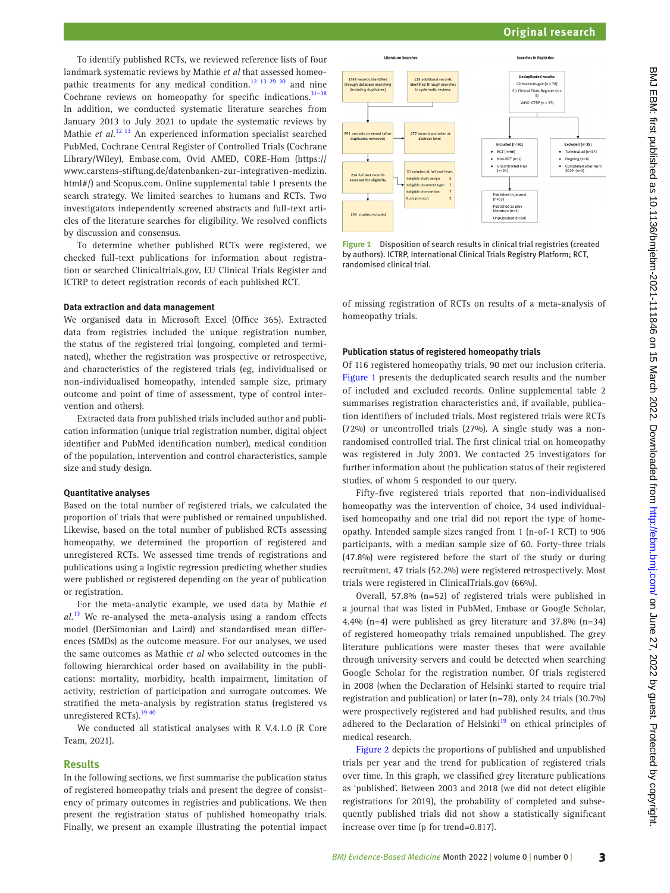To identify published RCTs, we reviewed reference lists of four landmark systematic reviews by Mathie *et al* that assessed homeopathic treatments for any medical condition.<sup>12 13 29 30</sup> and nine Cochrane reviews on homeopathy for specific indications.<sup>31-38</sup> In addition, we conducted systematic literature searches from January 2013 to July 2021 to update the systematic reviews by Mathie *et al*. [12 13](#page-5-5) An experienced information specialist searched PubMed, Cochrane Central Register of Controlled Trials (Cochrane Library/Wiley), Embase.com, Ovid AMED, CORE-Hom ([https://](https://www.carstens-stiftung.de/datenbanken-zur-integrativen-medizin.html) [www.carstens-stiftung.de/datenbanken-zur-integrativen-medizin.](https://www.carstens-stiftung.de/datenbanken-zur-integrativen-medizin.html) [html](https://www.carstens-stiftung.de/datenbanken-zur-integrativen-medizin.html)#/) and Scopus.com. [Online supplemental table 1](https://dx.doi.org/10.1136/bmjebm-2021-111846) presents the search strategy. We limited searches to humans and RCTs. Two investigators independently screened abstracts and full-text articles of the literature searches for eligibility. We resolved conflicts by discussion and consensus.

To determine whether published RCTs were registered, we checked full-text publications for information about registration or searched Clinicaltrials.gov, EU Clinical Trials Register and ICTRP to detect registration records of each published RCT.

#### **Data extraction and data management**

We organised data in Microsoft Excel (Office 365). Extracted data from registries included the unique registration number, the status of the registered trial (ongoing, completed and terminated), whether the registration was prospective or retrospective, and characteristics of the registered trials (eg, individualised or non-individualised homeopathy, intended sample size, primary outcome and point of time of assessment, type of control intervention and others).

Extracted data from published trials included author and publication information (unique trial registration number, digital object identifier and PubMed identification number), medical condition of the population, intervention and control characteristics, sample size and study design.

#### **Quantitative analyses**

Based on the total number of registered trials, we calculated the proportion of trials that were published or remained unpublished. Likewise, based on the total number of published RCTs assessing homeopathy, we determined the proportion of registered and unregistered RCTs. We assessed time trends of registrations and publications using a logistic regression predicting whether studies were published or registered depending on the year of publication or registration.

For the meta-analytic example, we used data by Mathie *et al*. [13](#page-5-21) We re-analysed the meta-analysis using a random effects model (DerSimonian and Laird) and standardised mean differences (SMDs) as the outcome measure. For our analyses, we used the same outcomes as Mathie *et al* who selected outcomes in the following hierarchical order based on availability in the publications: mortality, morbidity, health impairment, limitation of activity, restriction of participation and surrogate outcomes. We stratified the meta-analysis by registration status (registered vs unregistered RCTs).<sup>39 40</sup>

We conducted all statistical analyses with R V.4.1.0 (R Core Team, 2021).

#### **Results**

In the following sections, we first summarise the publication status of registered homeopathy trials and present the degree of consistency of primary outcomes in registries and publications. We then present the registration status of published homeopathy trials. Finally, we present an example illustrating the potential impact



<span id="page-2-0"></span>**Figure 1** Disposition of search results in clinical trial registries (created by authors). ICTRP, International Clinical Trials Registry Platform; RCT, randomised clinical trial.

of missing registration of RCTs on results of a meta-analysis of homeopathy trials.

#### **Publication status of registered homeopathy trials**

Of 116 registered homeopathy trials, 90 met our inclusion criteria. [Figure 1](#page-2-0) presents the deduplicated search results and the number of included and excluded records. [Online supplemental table 2](https://dx.doi.org/10.1136/bmjebm-2021-111846)  summarises registration characteristics and, if available, publication identifiers of included trials. Most registered trials were RCTs (72%) or uncontrolled trials (27%). A single study was a nonrandomised controlled trial. The first clinical trial on homeopathy was registered in July 2003. We contacted 25 investigators for further information about the publication status of their registered studies, of whom 5 responded to our query.

Fifty-five registered trials reported that non-individualised homeopathy was the intervention of choice, 34 used individualised homeopathy and one trial did not report the type of homeopathy. Intended sample sizes ranged from 1 (n-of-1 RCT) to 906 participants, with a median sample size of 60. Forty-three trials (47.8%) were registered before the start of the study or during recruitment, 47 trials (52.2%) were registered retrospectively. Most trials were registered in ClinicalTrials.gov (66%).

Overall, 57.8% (n=52) of registered trials were published in a journal that was listed in PubMed, Embase or Google Scholar, 4.4% (n=4) were published as grey literature and 37.8% (n=34) of registered homeopathy trials remained unpublished. The grey literature publications were master theses that were available through university servers and could be detected when searching Google Scholar for the registration number. Of trials registered in 2008 (when the Declaration of Helsinki started to require trial registration and publication) or later (n=78), only 24 trials (30.7%) were prospectively registered and had published results, and thus adhered to the Declaration of Helsinki<sup>[19](#page-5-11)</sup> on ethical principles of medical research.

[Figure 2](#page-3-0) depicts the proportions of published and unpublished trials per year and the trend for publication of registered trials over time. In this graph, we classified grey literature publications as 'published'. Between 2003 and 2018 (we did not detect eligible registrations for 2019), the probability of completed and subsequently published trials did not show a statistically significant increase over time (p for trend=0.817).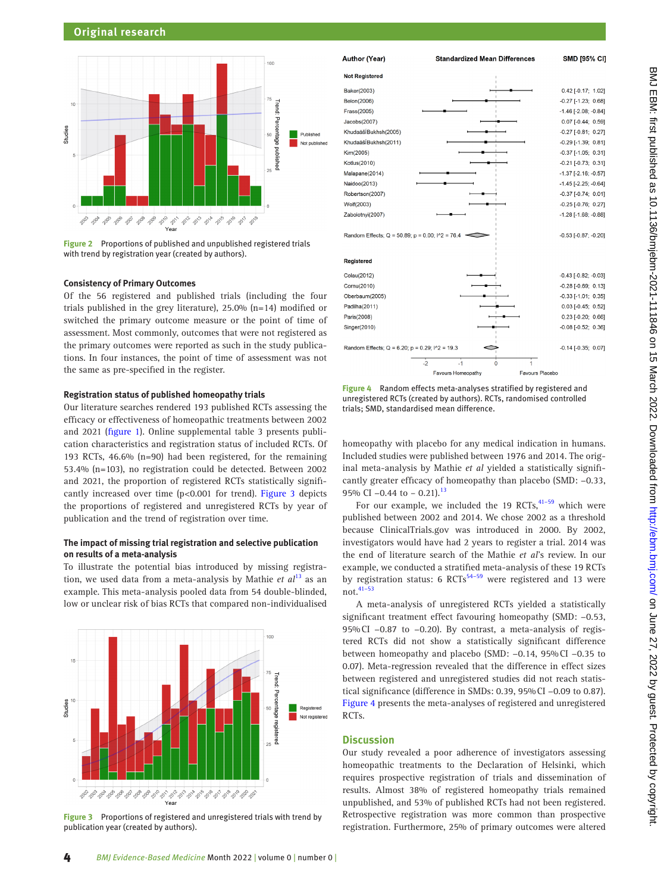

<span id="page-3-0"></span>**Figure 2** Proportions of published and unpublished registered trials with trend by registration year (created by authors).

# **Consistency of Primary Outcomes**

Of the 56 registered and published trials (including the four trials published in the grey literature), 25.0% (n=14) modified or switched the primary outcome measure or the point of time of assessment. Most commonly, outcomes that were not registered as the primary outcomes were reported as such in the study publications. In four instances, the point of time of assessment was not the same as pre-specified in the register.

#### **Registration status of published homeopathy trials**

Our literature searches rendered 193 published RCTs assessing the efficacy or effectiveness of homeopathic treatments between 2002 and 2021 ([figure 1](#page-2-0)). [Online supplemental table 3](https://dx.doi.org/10.1136/bmjebm-2021-111846) presents publication characteristics and registration status of included RCTs. Of 193 RCTs, 46.6% (n=90) had been registered, for the remaining 53.4% (n=103), no registration could be detected. Between 2002 and 2021, the proportion of registered RCTs statistically significantly increased over time (p<0.001 for trend). [Figure 3](#page-3-1) depicts the proportions of registered and unregistered RCTs by year of publication and the trend of registration over time.

#### **The impact of missing trial registration and selective publication on results of a meta-analysis**

To illustrate the potential bias introduced by missing registration, we used data from a meta-analysis by Mathie *et al*[13](#page-5-21) as an example. This meta-analysis pooled data from 54 double-blinded, low or unclear risk of bias RCTs that compared non-individualised



<span id="page-3-1"></span>**Figure 3** Proportions of registered and unregistered trials with trend by publication year (created by authors).



<span id="page-3-2"></span>**Figure 4** Random effects meta-analyses stratified by registered and unregistered RCTs (created by authors). RCTs, randomised controlled trials; SMD, standardised mean difference.

homeopathy with placebo for any medical indication in humans. Included studies were published between 1976 and 2014. The original meta-analysis by Mathie *et al* yielded a statistically significantly greater efficacy of homeopathy than placebo (SMD: −0.33, 95% CI -0.44 to - 0.21).<sup>13</sup>

For our example, we included the 19 RCTs, $41-59$  which were published between 2002 and 2014. We chose 2002 as a threshold because ClinicalTrials.gov was introduced in 2000. By 2002, investigators would have had 2 years to register a trial. 2014 was the end of literature search of the Mathie *et al*'s review. In our example, we conducted a stratified meta-analysis of these 19 RCTs by registration status: 6 RCTs<sup>[54–59](#page-6-0)</sup> were registered and 13 were not.[41–53](#page-5-23)

A meta-analysis of unregistered RCTs yielded a statistically significant treatment effect favouring homeopathy (SMD: −0.53, 95%CI −0.87 to −0.20). By contrast, a meta-analysis of registered RCTs did not show a statistically significant difference between homeopathy and placebo (SMD: −0.14, 95%CI −0.35 to 0.07). Meta-regression revealed that the difference in effect sizes between registered and unregistered studies did not reach statistical significance (difference in SMDs: 0.39, 95%CI −0.09 to 0.87). [Figure 4](#page-3-2) presents the meta-analyses of registered and unregistered RCTs.

## **Discussion**

Our study revealed a poor adherence of investigators assessing homeopathic treatments to the Declaration of Helsinki, which requires prospective registration of trials and dissemination of results. Almost 38% of registered homeopathy trials remained unpublished, and 53% of published RCTs had not been registered. Retrospective registration was more common than prospective registration. Furthermore, 25% of primary outcomes were altered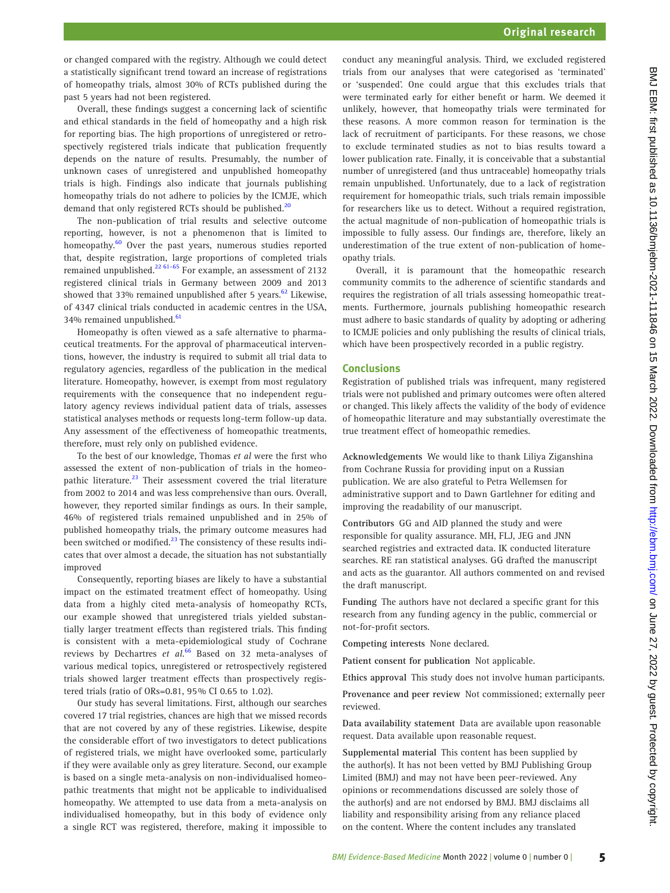or changed compared with the registry. Although we could detect a statistically significant trend toward an increase of registrations of homeopathy trials, almost 30% of RCTs published during the past 5 years had not been registered.

Overall, these findings suggest a concerning lack of scientific and ethical standards in the field of homeopathy and a high risk for reporting bias. The high proportions of unregistered or retrospectively registered trials indicate that publication frequently depends on the nature of results. Presumably, the number of unknown cases of unregistered and unpublished homeopathy trials is high. Findings also indicate that journals publishing homeopathy trials do not adhere to policies by the ICMJE, which demand that only registered RCTs should be published.<sup>[20](#page-5-12)</sup>

The non-publication of trial results and selective outcome reporting, however, is not a phenomenon that is limited to homeopathy.<sup>[60](#page-6-1)</sup> Over the past years, numerous studies reported that, despite registration, large proportions of completed trials remained unpublished.[22 61–65](#page-5-14) For example, an assessment of 2132 registered clinical trials in Germany between 2009 and 2013 showed that 33% remained unpublished after 5 years. $62$  Likewise, of 4347 clinical trials conducted in academic centres in the USA, 34% remained unpublished.<sup>[61](#page-6-3)</sup>

Homeopathy is often viewed as a safe alternative to pharmaceutical treatments. For the approval of pharmaceutical interventions, however, the industry is required to submit all trial data to regulatory agencies, regardless of the publication in the medical literature. Homeopathy, however, is exempt from most regulatory requirements with the consequence that no independent regulatory agency reviews individual patient data of trials, assesses statistical analyses methods or requests long-term follow-up data. Any assessment of the effectiveness of homeopathic treatments, therefore, must rely only on published evidence.

To the best of our knowledge, Thomas *et al* were the first who assessed the extent of non-publication of trials in the homeopathic literature.<sup>23</sup> Their assessment covered the trial literature from 2002 to 2014 and was less comprehensive than ours. Overall, however, they reported similar findings as ours. In their sample, 46% of registered trials remained unpublished and in 25% of published homeopathy trials, the primary outcome measures had been switched or modified.<sup>23</sup> The consistency of these results indicates that over almost a decade, the situation has not substantially improved

Consequently, reporting biases are likely to have a substantial impact on the estimated treatment effect of homeopathy. Using data from a highly cited meta-analysis of homeopathy RCTs, our example showed that unregistered trials yielded substantially larger treatment effects than registered trials. This finding is consistent with a meta-epidemiological study of Cochrane reviews by Dechartres *et al*. [66](#page-6-4) Based on 32 meta-analyses of various medical topics, unregistered or retrospectively registered trials showed larger treatment effects than prospectively registered trials (ratio of ORs=0.81, 95% CI 0.65 to 1.02).

Our study has several limitations. First, although our searches covered 17 trial registries, chances are high that we missed records that are not covered by any of these registries. Likewise, despite the considerable effort of two investigators to detect publications of registered trials, we might have overlooked some, particularly if they were available only as grey literature. Second, our example is based on a single meta-analysis on non-individualised homeopathic treatments that might not be applicable to individualised homeopathy. We attempted to use data from a meta-analysis on individualised homeopathy, but in this body of evidence only a single RCT was registered, therefore, making it impossible to

conduct any meaningful analysis. Third, we excluded registered trials from our analyses that were categorised as 'terminated' or 'suspended'. One could argue that this excludes trials that were terminated early for either benefit or harm. We deemed it unlikely, however, that homeopathy trials were terminated for these reasons. A more common reason for termination is the lack of recruitment of participants. For these reasons, we chose to exclude terminated studies as not to bias results toward a lower publication rate. Finally, it is conceivable that a substantial number of unregistered (and thus untraceable) homeopathy trials remain unpublished. Unfortunately, due to a lack of registration requirement for homeopathic trials, such trials remain impossible for researchers like us to detect. Without a required registration, the actual magnitude of non-publication of homeopathic trials is impossible to fully assess. Our findings are, therefore, likely an underestimation of the true extent of non-publication of homeopathy trials.

Overall, it is paramount that the homeopathic research community commits to the adherence of scientific standards and requires the registration of all trials assessing homeopathic treatments. Furthermore, journals publishing homeopathic research must adhere to basic standards of quality by adopting or adhering to ICMJE policies and only publishing the results of clinical trials, which have been prospectively recorded in a public registry.

#### **Conclusions**

Registration of published trials was infrequent, many registered trials were not published and primary outcomes were often altered or changed. This likely affects the validity of the body of evidence of homeopathic literature and may substantially overestimate the true treatment effect of homeopathic remedies.

**Acknowledgements** We would like to thank Liliya Ziganshina from Cochrane Russia for providing input on a Russian publication. We are also grateful to Petra Wellemsen for administrative support and to Dawn Gartlehner for editing and improving the readability of our manuscript.

**Contributors** GG and AID planned the study and were responsible for quality assurance. MH, FLJ, JEG and JNN searched registries and extracted data. IK conducted literature searches. RE ran statistical analyses. GG drafted the manuscript and acts as the guarantor. All authors commented on and revised the draft manuscript.

**Funding** The authors have not declared a specific grant for this research from any funding agency in the public, commercial or not-for-profit sectors.

**Competing interests** None declared.

**Patient consent for publication** Not applicable.

**Ethics approval** This study does not involve human participants.

**Provenance and peer review** Not commissioned; externally peer reviewed.

**Data availability statement** Data are available upon reasonable request. Data available upon reasonable request.

**Supplemental material** This content has been supplied by the author(s). It has not been vetted by BMJ Publishing Group Limited (BMJ) and may not have been peer-reviewed. Any opinions or recommendations discussed are solely those of the author(s) and are not endorsed by BMJ. BMJ disclaims all liability and responsibility arising from any reliance placed on the content. Where the content includes any translated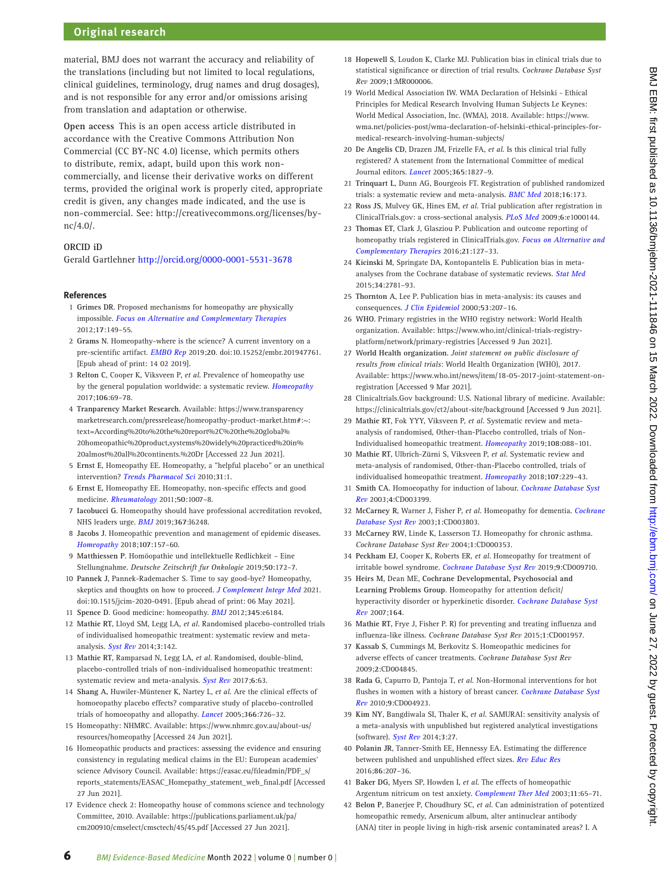# **Original research**

material, BMJ does not warrant the accuracy and reliability of the translations (including but not limited to local regulations, clinical guidelines, terminology, drug names and drug dosages), and is not responsible for any error and/or omissions arising from translation and adaptation or otherwise.

**Open access** This is an open access article distributed in accordance with the Creative Commons Attribution Non Commercial (CC BY-NC 4.0) license, which permits others to distribute, remix, adapt, build upon this work noncommercially, and license their derivative works on different terms, provided the original work is properly cited, appropriate credit is given, any changes made indicated, and the use is non-commercial. See: [http://creativecommons.org/licenses/by](http://creativecommons.org/licenses/by-nc/4.0/)[nc/4.0/](http://creativecommons.org/licenses/by-nc/4.0/).

## **ORCID iD**

Gerald Gartlehner <http://orcid.org/0000-0001-5531-3678>

#### **References**

- <span id="page-5-0"></span>1 **Grimes DR**. Proposed mechanisms for homeopathy are physically impossible. *[Focus on Alternative and Complementary Therapies](http://dx.doi.org/10.1111/j.2042-7166.2012.01162.x)* 2012;**17**:149–55.
- <span id="page-5-1"></span>2 **Grams N**. Homeopathy-where is the science? A current inventory on a pre-scientific artifact. *[EMBO Rep](http://dx.doi.org/10.15252/embr.201947761)* 2019;**20**. doi:10.15252/embr.201947761. [Epub ahead of print: 14 02 2019].
- <span id="page-5-2"></span>3 **Relton C**, Cooper K, Viksveen P, *et al*. Prevalence of homeopathy use by the general population worldwide: a systematic review. *[Homeopathy](http://dx.doi.org/10.1016/j.homp.2017.03.002)* 2017;**106**:69–78.
- <span id="page-5-3"></span>4 **Tranparency Market Research**. Available: [https://www.transparency](https://www.transparencymarketresearch.com/pressrelease/homeopathy-product-market.htm#:~:text=According%20to%20the%20report%2C%20the%20global%20homeopathic%20product,systems%20widely%20practiced%20in%20almost%20all%20continents.%20Dr) [marketresearch.com/pressrelease/homeopathy-product-market.htm#:~:](https://www.transparencymarketresearch.com/pressrelease/homeopathy-product-market.htm#:~:text=According%20to%20the%20report%2C%20the%20global%20homeopathic%20product,systems%20widely%20practiced%20in%20almost%20all%20continents.%20Dr) [text=According%20to%20the%20report%2C%20the%20global%](https://www.transparencymarketresearch.com/pressrelease/homeopathy-product-market.htm#:~:text=According%20to%20the%20report%2C%20the%20global%20homeopathic%20product,systems%20widely%20practiced%20in%20almost%20all%20continents.%20Dr) [20homeopathic%20product,systems%20widely%20practiced%20in%](https://www.transparencymarketresearch.com/pressrelease/homeopathy-product-market.htm#:~:text=According%20to%20the%20report%2C%20the%20global%20homeopathic%20product,systems%20widely%20practiced%20in%20almost%20all%20continents.%20Dr) [20almost%20all%20continents.%20Dr](https://www.transparencymarketresearch.com/pressrelease/homeopathy-product-market.htm#:~:text=According%20to%20the%20report%2C%20the%20global%20homeopathic%20product,systems%20widely%20practiced%20in%20almost%20all%20continents.%20Dr) [Accessed 22 Jun 2021].
- <span id="page-5-4"></span>5 **Ernst E**, Homeopathy EE. Homeopathy, a "helpful placebo" or an unethical intervention? *[Trends Pharmacol Sci](http://dx.doi.org/10.1016/j.tips.2009.10.005)* 2010;**31**:1.
- 6 **Ernst E**, Homeopathy EE. Homeopathy, non-specific effects and good medicine. *[Rheumatology](http://dx.doi.org/10.1093/rheumatology/keq265)* 2011;**50**:1007–8.
- 7 **Iacobucci G**. Homeopathy should have professional accreditation revoked, NHS leaders urge. *[BMJ](http://dx.doi.org/10.1136/bmj.l6248)* 2019;**367**:l6248.
- 8 **Jacobs J**. Homeopathic prevention and management of epidemic diseases. *[Homeopathy](http://dx.doi.org/10.1055/s-0038-1649487)* 2018;**107**:157–60.
- 9 **Matthiessen P**. Homöopathie und intellektuelle Redlichkeit Eine Stellungnahme. *Deutsche Zeitschrift fur Onkologie* 2019;**50**:172–7.
- 10 **Pannek J**, Pannek-Rademacher S. Time to say good-bye? Homeopathy, skeptics and thoughts on how to proceed. *[J Complement Integr Med](http://dx.doi.org/10.1515/jcim-2020-0491)* 2021. doi:10.1515/jcim-2020-0491. [Epub ahead of print: 06 May 2021].
- 11 **Spence D**. Good medicine: homeopathy. *[BMJ](http://dx.doi.org/10.1136/bmj.e6184)* 2012;**345**:e6184.
- <span id="page-5-5"></span>12 **Mathie RT**, Lloyd SM, Legg LA, *et al*. Randomised placebo-controlled trials of individualised homeopathic treatment: systematic review and metaanalysis. *[Syst Rev](http://dx.doi.org/10.1186/2046-4053-3-142)* 2014;**3**:142.
- <span id="page-5-21"></span>13 **Mathie RT**, Ramparsad N, Legg LA, *et al*. Randomised, double-blind, placebo-controlled trials of non-individualised homeopathic treatment: systematic review and meta-analysis. *[Syst Rev](http://dx.doi.org/10.1186/s13643-017-0445-3)* 2017;**6**:63.
- <span id="page-5-6"></span>14 **Shang A**, Huwiler-Müntener K, Nartey L, *et al*. Are the clinical effects of homoeopathy placebo effects? comparative study of placebo-controlled trials of homoeopathy and allopathy. *[Lancet](http://dx.doi.org/10.1016/S0140-6736(05)67177-2)* 2005;**366**:726–32.
- <span id="page-5-7"></span>15 Homeopathy: NHMRC. Available: [https://www.nhmrc.gov.au/about-us/](https://www.nhmrc.gov.au/about-us/resources/homeopathy) [resources/homeopathy](https://www.nhmrc.gov.au/about-us/resources/homeopathy) [Accessed 24 Jun 2021].
- <span id="page-5-8"></span>16 Homeopathic products and practices: assessing the evidence and ensuring consistency in regulating medical claims in the EU: European academies' science Advisory Council. Available: [https://easac.eu/fileadmin/PDF\\_s/](https://easac.eu/fileadmin/PDF_s/reports_statements/EASAC_Homepathy_statement_web_final.pdf) [reports\\_statements/EASAC\\_Homepathy\\_statement\\_web\\_final.pdf](https://easac.eu/fileadmin/PDF_s/reports_statements/EASAC_Homepathy_statement_web_final.pdf) [Accessed 27 Jun 2021].
- <span id="page-5-9"></span>17 Evidence check 2: Homeopathy house of commons science and technology Committee, 2010. Available: [https://publications.parliament.uk/pa/](https://publications.parliament.uk/pa/cm200910/cmselect/cmsctech/45/45.pdf) [cm200910/cmselect/cmsctech/45/45.pdf](https://publications.parliament.uk/pa/cm200910/cmselect/cmsctech/45/45.pdf) [Accessed 27 Jun 2021].
- <span id="page-5-10"></span>18 **Hopewell S**, Loudon K, Clarke MJ. Publication bias in clinical trials due to statistical significance or direction of trial results. *Cochrane Database Syst Rev* 2009;**1**:MR000006.
- <span id="page-5-11"></span>19 World Medical Association IW. WMA Declaration of Helsinki - Ethical Principles for Medical Research Involving Human Subjects Le Keynes: World Medical Association, Inc. (WMA), 2018. Available: [https://www.](https://www.wma.net/policies-post/wma-declaration-of-helsinki-ethical-principles-for-medical-research-involving-human-subjects/) [wma.net/policies-post/wma-declaration-of-helsinki-ethical-principles-for](https://www.wma.net/policies-post/wma-declaration-of-helsinki-ethical-principles-for-medical-research-involving-human-subjects/)[medical-research-involving-human-subjects/](https://www.wma.net/policies-post/wma-declaration-of-helsinki-ethical-principles-for-medical-research-involving-human-subjects/)
- <span id="page-5-12"></span>20 **De Angelis CD**, Drazen JM, Frizelle FA, *et al*. Is this clinical trial fully registered? A statement from the International Committee of medical Journal editors. *[Lancet](http://dx.doi.org/10.1016/S0140-6736(05)66588-9)* 2005;**365**:1827–9.
- <span id="page-5-13"></span>21 **Trinquart L**, Dunn AG, Bourgeois FT. Registration of published randomized trials: a systematic review and meta-analysis. *[BMC Med](http://dx.doi.org/10.1186/s12916-018-1168-6)* 2018;**16**:173.
- <span id="page-5-14"></span>22 **Ross JS**, Mulvey GK, Hines EM, *et al*. Trial publication after registration in ClinicalTrials.gov: a cross-sectional analysis. *[PLoS Med](http://dx.doi.org/10.1371/journal.pmed.1000144)* 2009;**6**:e1000144.
- <span id="page-5-15"></span>23 **Thomas ET**, Clark J, Glasziou P. Publication and outcome reporting of homeopathy trials registered in ClinicalTrials.gov. *[Focus on Alternative and](http://dx.doi.org/10.1111/fct.12278)  [Complementary Therapies](http://dx.doi.org/10.1111/fct.12278)* 2016;**21**:127–33.
- <span id="page-5-16"></span>24 **Kicinski M**, Springate DA, Kontopantelis E. Publication bias in metaanalyses from the Cochrane database of systematic reviews. *[Stat Med](http://dx.doi.org/10.1002/sim.6525)* 2015;**34**:2781–93.
- 25 **Thornton A**, Lee P. Publication bias in meta-analysis: its causes and consequences. *[J Clin Epidemiol](http://dx.doi.org/10.1016/S0895-4356(99)00161-4)* 2000;**53**:207–16.
- <span id="page-5-17"></span>26 **WHO**. Primary registries in the WHO registry network: World Health organization. Available: [https://www.who.int/clinical-trials-registry](https://www.who.int/clinical-trials-registry-platform/network/primary-registries)[platform/network/primary-registries](https://www.who.int/clinical-trials-registry-platform/network/primary-registries) [Accessed 9 Jun 2021].
- <span id="page-5-18"></span>27 **World Health organization**. *Joint statement on public disclosure of results from clinical trials*: World Health Organization (WHO), 2017. Available: [https://www.who.int/news/item/18-05-2017-joint-statement-on](https://www.who.int/news/item/18-05-2017-joint-statement-on-registration)[registration](https://www.who.int/news/item/18-05-2017-joint-statement-on-registration) [Accessed 9 Mar 2021].
- <span id="page-5-19"></span>28 Clinicaltrials.Gov background: U.S. National library of medicine. Available: <https://clinicaltrials.gov/ct2/about-site/background> [Accessed 9 Jun 2021].
- 29 **Mathie RT**, Fok YYY, Viksveen P, *et al*. Systematic review and metaanalysis of randomised, Other-than-Placebo controlled, trials of Non-Individualised homeopathic treatment. *[Homeopathy](http://dx.doi.org/10.1055/s-0038-1677481)* 2019;**108**:088–101.
- 30 **Mathie RT**, Ulbrich-Zürni S, Viksveen P, *et al*. Systematic review and meta-analysis of randomised, Other-than-Placebo controlled, trials of individualised homeopathic treatment. *[Homeopathy](http://dx.doi.org/10.1055/s-0038-1667129)* 2018;**107**:229–43.
- <span id="page-5-20"></span>31 **Smith CA**. Homoeopathy for induction of labour. *[Cochrane Database Syst](http://dx.doi.org/10.1002/14651858.CD003399)  [Rev](http://dx.doi.org/10.1002/14651858.CD003399)* 2003;**4**:CD003399.
- 32 **McCarney R**, Warner J, Fisher P, *et al*. Homeopathy for dementia. *[Cochrane](http://dx.doi.org/10.1002/14651858.CD003803)  [Database Syst Rev](http://dx.doi.org/10.1002/14651858.CD003803)* 2003;**1**:CD003803.
- 33 **McCarney RW**, Linde K, Lasserson TJ. Homeopathy for chronic asthma. *Cochrane Database Syst Rev* 2004;**1**:CD000353.
- 34 **Peckham EJ**, Cooper K, Roberts ER, *et al*. Homeopathy for treatment of irritable bowel syndrome. *[Cochrane Database Syst Rev](http://dx.doi.org/10.1002/14651858.CD009710.pub3)* 2019;**9**:CD009710.
- 35 **Heirs M**, Dean ME, **Cochrane Developmental, Psychosocial and Learning Problems Group**. Homeopathy for attention deficit/ hyperactivity disorder or hyperkinetic disorder. *[Cochrane Database Syst](http://dx.doi.org/10.1002/14651858.CD005648.pub2)  [Rev](http://dx.doi.org/10.1002/14651858.CD005648.pub2)* 2007;**164**.
- 36 **Mathie RT**, Frye J, Fisher P. R) for preventing and treating influenza and influenza-like illness. *Cochrane Database Syst Rev* 2015;**1**:CD001957.
- 37 **Kassab S**, Cummings M, Berkovitz S. Homeopathic medicines for adverse effects of cancer treatments. *Cochrane Database Syst Rev* 2009;**2**:CD004845.
- 38 **Rada G**, Capurro D, Pantoja T, *et al*. Non-Hormonal interventions for hot flushes in women with a history of breast cancer. *[Cochrane Database Syst](http://dx.doi.org/10.1002/14651858.CD004923.pub2)  [Rev](http://dx.doi.org/10.1002/14651858.CD004923.pub2)* 2010;**9**:CD004923.
- <span id="page-5-22"></span>39 **Kim NY**, Bangdiwala SI, Thaler K, *et al*. SAMURAI: sensitivity analysis of a meta-analysis with unpublished but registered analytical investigations (software). *[Syst Rev](http://dx.doi.org/10.1186/2046-4053-3-27)* 2014;**3**:27.
- 40 **Polanin JR**, Tanner-Smith EE, Hennessy EA. Estimating the difference between published and unpublished effect sizes. *[Rev Educ Res](http://dx.doi.org/10.3102/0034654315582067)* 2016;**86**:207–36.
- <span id="page-5-23"></span>41 **Baker DG**, Myers SP, Howden I, *et al*. The effects of homeopathic Argentum nitricum on test anxiety. *[Complement Ther Med](http://dx.doi.org/10.1016/S0965-2299(03)00059-1)* 2003;**11**:65–71.
- 42 **Belon P**, Banerjee P, Choudhury SC, *et al*. Can administration of potentized homeopathic remedy, Arsenicum album, alter antinuclear antibody (ANA) titer in people living in high-risk arsenic contaminated areas? I. A